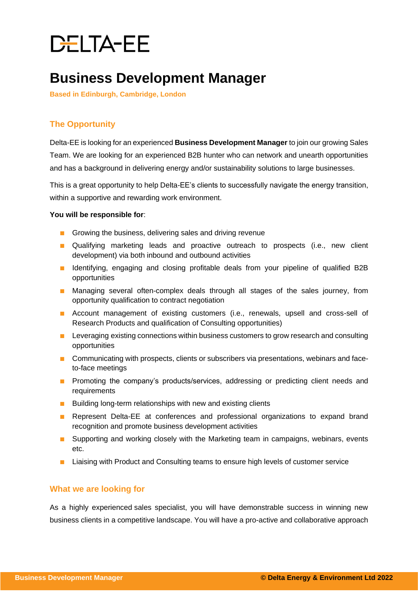# DELTA-EE

# **Business Development Manager**

**Based in Edinburgh, Cambridge, London**

## **The Opportunity**

Delta-EE is looking for an experienced **Business Development Manager** to join our growing Sales Team. We are looking for an experienced B2B hunter who can network and unearth opportunities and has a background in delivering energy and/or sustainability solutions to large businesses.

This is a great opportunity to help Delta-EE's clients to successfully navigate the energy transition, within a supportive and rewarding work environment.

#### **You will be responsible for**:

- Growing the business, delivering sales and driving revenue
- Qualifying marketing leads and proactive outreach to prospects (i.e., new client development) via both inbound and outbound activities
- Identifying, engaging and closing profitable deals from your pipeline of qualified B2B opportunities
- Managing several often-complex deals through all stages of the sales journey, from opportunity qualification to contract negotiation
- Account management of existing customers (i.e., renewals, upsell and cross-sell of Research Products and qualification of Consulting opportunities)
- Leveraging existing connections within business customers to grow research and consulting opportunities
- Communicating with prospects, clients or subscribers via presentations, webinars and faceto-face meetings
- Promoting the company's products/services, addressing or predicting client needs and requirements
- Building long-term relationships with new and existing clients
- Represent Delta-EE at conferences and professional organizations to expand brand recognition and promote business development activities
- Supporting and working closely with the Marketing team in campaigns, webinars, events etc.
- Liaising with Product and Consulting teams to ensure high levels of customer service

#### **What we are looking for**

As a highly experienced sales specialist, you will have demonstrable success in winning new business clients in a competitive landscape. You will have a pro-active and collaborative approach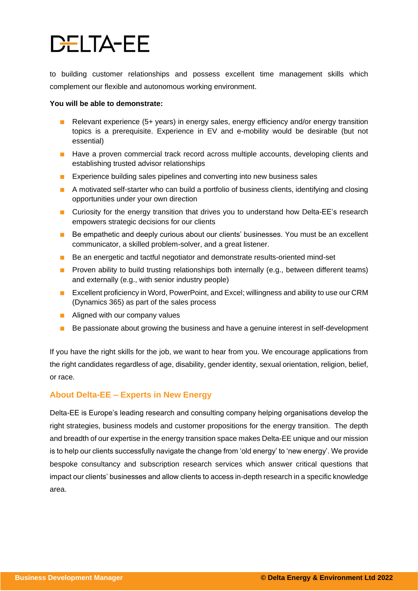# **DELTA-EE**

to building customer relationships and possess excellent time management skills which complement our flexible and autonomous working environment.

#### **You will be able to demonstrate:**

- Relevant experience (5+ years) in energy sales, energy efficiency and/or energy transition topics is a prerequisite. Experience in EV and e-mobility would be desirable (but not essential)
- Have a proven commercial track record across multiple accounts, developing clients and establishing trusted advisor relationships
- Experience building sales pipelines and converting into new business sales
- A motivated self-starter who can build a portfolio of business clients, identifying and closing opportunities under your own direction
- Curiosity for the energy transition that drives you to understand how Delta-EE's research empowers strategic decisions for our clients
- Be empathetic and deeply curious about our clients' businesses. You must be an excellent communicator, a skilled problem-solver, and a great listener.
- Be an energetic and tactful negotiator and demonstrate results-oriented mind-set
- Proven ability to build trusting relationships both internally (e.g., between different teams) and externally (e.g., with senior industry people)
- Excellent proficiency in Word, PowerPoint, and Excel; willingness and ability to use our CRM (Dynamics 365) as part of the sales process
- Aligned with our company values
- Be passionate about growing the business and have a genuine interest in self-development

If you have the right skills for the job, we want to hear from you. We encourage applications from the right candidates regardless of age, disability, gender identity, sexual orientation, religion, belief, or race.

### **About Delta-EE – Experts in New Energy**

Delta-EE is Europe's leading research and consulting company helping organisations develop the right strategies, business models and customer propositions for the energy transition. The depth and breadth of our expertise in the energy transition space makes Delta-EE unique and our mission is to help our clients successfully navigate the change from 'old energy' to 'new energy'. We provide bespoke consultancy and subscription research services which answer critical questions that impact our clients' businesses and allow clients to access in-depth research in a specific knowledge area.